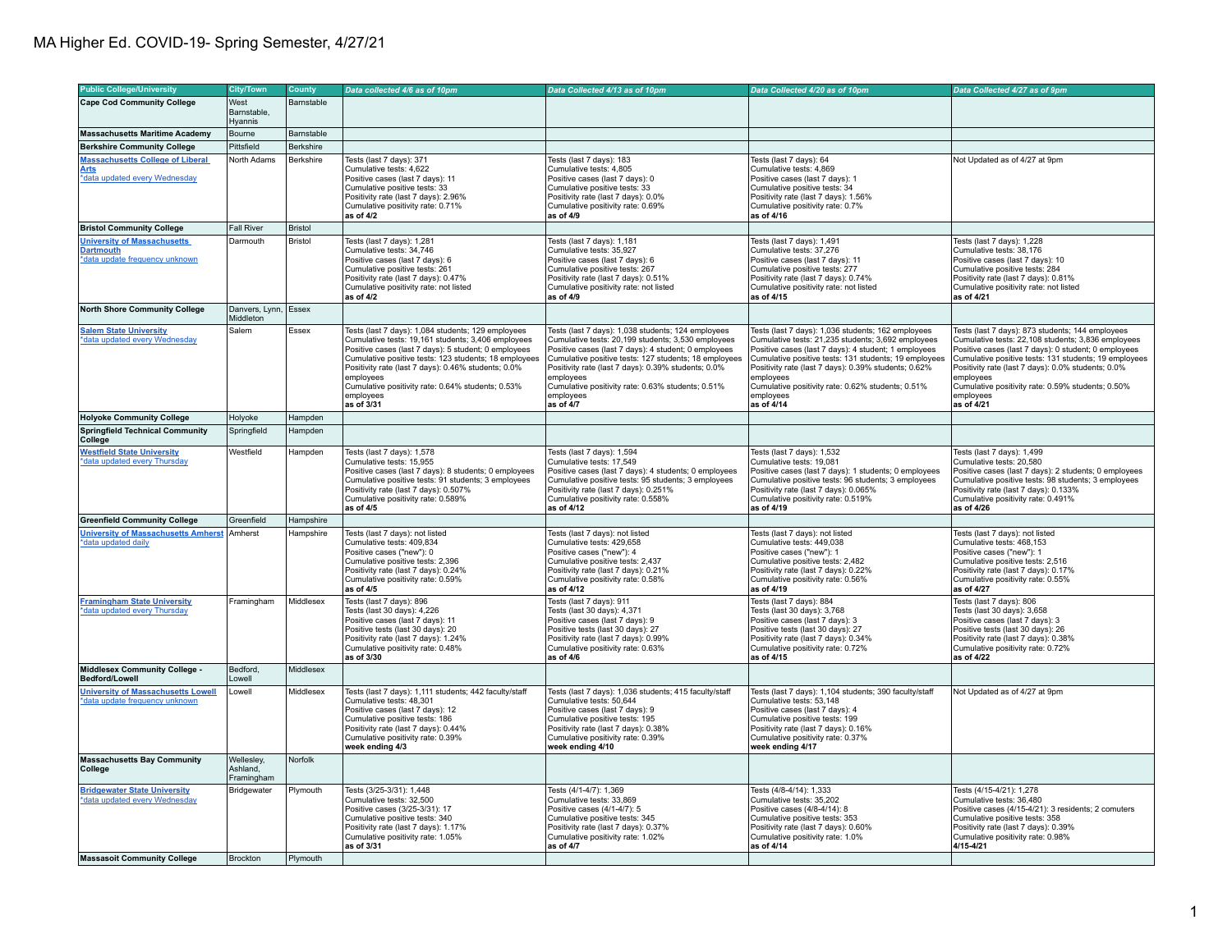| <b>Public College/University</b>                   | <b>City/Town</b>       | County         | Data collected 4/6 as of 10pm                                                                                | Data Collected 4/13 as of 10pm                                                                               | Data Collected 4/20 as of 10pm                                                                               | Data Collected 4/27 as of 9pm                                                                                |
|----------------------------------------------------|------------------------|----------------|--------------------------------------------------------------------------------------------------------------|--------------------------------------------------------------------------------------------------------------|--------------------------------------------------------------------------------------------------------------|--------------------------------------------------------------------------------------------------------------|
| <b>Cape Cod Community College</b>                  | West                   | Barnstable     |                                                                                                              |                                                                                                              |                                                                                                              |                                                                                                              |
|                                                    | Barnstable,            |                |                                                                                                              |                                                                                                              |                                                                                                              |                                                                                                              |
|                                                    | Hyannis                |                |                                                                                                              |                                                                                                              |                                                                                                              |                                                                                                              |
| <b>Massachusetts Maritime Academy</b>              | Bourne                 | Barnstable     |                                                                                                              |                                                                                                              |                                                                                                              |                                                                                                              |
| <b>Berkshire Community College</b>                 | Pittsfield             | Berkshire      |                                                                                                              |                                                                                                              |                                                                                                              |                                                                                                              |
| <b>Massachusetts College of Liberal</b>            | North Adams            | Berkshire      | Tests (last 7 days): 371                                                                                     | Tests (last 7 days): 183                                                                                     | Tests (last 7 days): 64                                                                                      | Not Updated as of 4/27 at 9pm                                                                                |
| <b>Arts</b>                                        |                        |                | Cumulative tests: 4.622                                                                                      | Cumulative tests: 4.805                                                                                      | Cumulative tests: 4.869                                                                                      |                                                                                                              |
| *data updated every Wednesday                      |                        |                | Positive cases (last 7 days): 11<br>Cumulative positive tests: 33                                            | Positive cases (last 7 days): 0<br>Cumulative positive tests: 33                                             | Positive cases (last 7 days): 1<br>Cumulative positive tests: 34                                             |                                                                                                              |
|                                                    |                        |                | Positivity rate (last 7 days): 2.96%                                                                         | Positivity rate (last 7 days): 0.0%                                                                          | Positivity rate (last 7 days): 1.56%                                                                         |                                                                                                              |
|                                                    |                        |                | Cumulative positivity rate: 0.71%                                                                            | Cumulative positivity rate: 0.69%                                                                            | Cumulative positivity rate: 0.7%                                                                             |                                                                                                              |
|                                                    |                        |                | as of 4/2                                                                                                    | as of 4/9                                                                                                    | as of 4/16                                                                                                   |                                                                                                              |
| <b>Bristol Community College</b>                   | <b>Fall River</b>      | <b>Bristol</b> |                                                                                                              |                                                                                                              |                                                                                                              |                                                                                                              |
| <b>University of Massachusetts</b>                 | Darmouth               | <b>Bristol</b> | Tests (last 7 days): 1,281                                                                                   | Tests (last 7 days): 1,181                                                                                   | Tests (last 7 days): 1,491                                                                                   | Tests (last 7 days): 1,228                                                                                   |
| <b>Dartmouth</b>                                   |                        |                | Cumulative tests: 34,746                                                                                     | Cumulative tests: 35,927                                                                                     | Cumulative tests: 37,276                                                                                     | Cumulative tests: 38,176                                                                                     |
| *data update frequency unknown                     |                        |                | Positive cases (last 7 days): 6                                                                              | Positive cases (last 7 days): 6                                                                              | Positive cases (last 7 days): 11                                                                             | Positive cases (last 7 days): 10                                                                             |
|                                                    |                        |                | Cumulative positive tests: 261<br>Positivity rate (last 7 days): 0.47%                                       | Cumulative positive tests: 267<br>Positivity rate (last 7 days): 0.51%                                       | Cumulative positive tests: 277<br>Positivity rate (last 7 days): 0.74%                                       | Cumulative positive tests: 284<br>Positivity rate (last 7 days): 0.81%                                       |
|                                                    |                        |                | Cumulative positivity rate: not listed                                                                       | Cumulative positivity rate: not listed                                                                       | Cumulative positivity rate: not listed                                                                       | Cumulative positivity rate: not listed                                                                       |
|                                                    |                        |                | as of 4/2                                                                                                    | as of 4/9                                                                                                    | as of 4/15                                                                                                   | as of 4/21                                                                                                   |
| <b>North Shore Community College</b>               | Danvers, Lynn, Essex   |                |                                                                                                              |                                                                                                              |                                                                                                              |                                                                                                              |
|                                                    | Middleton              |                |                                                                                                              |                                                                                                              |                                                                                                              |                                                                                                              |
| <b>Salem State University</b>                      | Salem                  | Essex          | Tests (last 7 days): 1,084 students; 129 employees                                                           | Tests (last 7 days): 1,038 students; 124 employees                                                           | Tests (last 7 days): 1,036 students; 162 employees                                                           | Tests (last 7 days): 873 students; 144 employees                                                             |
| *data updated every Wednesday                      |                        |                | Cumulative tests: 19,161 students; 3,406 employees<br>Positive cases (last 7 days): 5 student; 0 employees   | Cumulative tests: 20,199 students; 3,530 employees<br>Positive cases (last 7 days): 4 student; 0 employees   | Cumulative tests: 21,235 students; 3,692 employees<br>Positive cases (last 7 days): 4 student; 1 employees   | Cumulative tests: 22,108 students; 3,836 employees<br>Positive cases (last 7 days): 0 student; 0 employees   |
|                                                    |                        |                | Cumulative positive tests: 123 students; 18 employees                                                        | Cumulative positive tests: 127 students; 18 employees                                                        | Cumulative positive tests: 131 students; 19 employees                                                        | Cumulative positive tests: 131 students; 19 employees                                                        |
|                                                    |                        |                | Positivity rate (last 7 days): 0.46% students; 0.0%                                                          | Positivity rate (last 7 days): 0.39% students; 0.0%                                                          | Positivity rate (last 7 days): 0.39% students; 0.62%                                                         | Positivity rate (last 7 days): 0.0% students; 0.0%                                                           |
|                                                    |                        |                | employees                                                                                                    | employees                                                                                                    | employees                                                                                                    | employees                                                                                                    |
|                                                    |                        |                | Cumulative positivity rate: 0.64% students; 0.53%                                                            | Cumulative positivity rate: 0.63% students; 0.51%                                                            | Cumulative positivity rate: 0.62% students; 0.51%                                                            | Cumulative positivity rate: 0.59% students; 0.50%                                                            |
|                                                    |                        |                | employees<br>as of 3/31                                                                                      | employees<br>as of 4/7                                                                                       | employees<br>as of 4/14                                                                                      | employees<br>as of 4/21                                                                                      |
| <b>Holyoke Community College</b>                   | Holyoke                | Hampden        |                                                                                                              |                                                                                                              |                                                                                                              |                                                                                                              |
| <b>Springfield Technical Community</b>             | Springfield            | Hampden        |                                                                                                              |                                                                                                              |                                                                                                              |                                                                                                              |
| College                                            |                        |                |                                                                                                              |                                                                                                              |                                                                                                              |                                                                                                              |
| <b>Westfield State University</b>                  | Westfield              | Hampden        | Tests (last 7 days): 1,578                                                                                   | Tests (last 7 days): 1,594                                                                                   | Tests (last 7 days): 1,532                                                                                   | Tests (last 7 days): 1,499                                                                                   |
| *data updated every Thursday                       |                        |                | Cumulative tests: 15,955                                                                                     | Cumulative tests: 17,549                                                                                     | Cumulative tests: 19,081                                                                                     | Cumulative tests: 20,580                                                                                     |
|                                                    |                        |                | Positive cases (last 7 days): 8 students; 0 employees<br>Cumulative positive tests: 91 students; 3 employees | Positive cases (last 7 days): 4 students; 0 employees<br>Cumulative positive tests: 95 students; 3 employees | Positive cases (last 7 days): 1 students; 0 employees<br>Cumulative positive tests: 96 students; 3 employees | Positive cases (last 7 days): 2 students; 0 employees<br>Cumulative positive tests: 98 students; 3 employees |
|                                                    |                        |                | Positivity rate (last 7 days): 0.507%                                                                        | Positivity rate (last 7 days): 0.251%                                                                        | Positivity rate (last 7 days): 0.065%                                                                        | Positivity rate (last 7 days): 0.133%                                                                        |
|                                                    |                        |                | Cumulative positivity rate: 0.589%                                                                           | Cumulative positivity rate: 0.558%                                                                           | Cumulative positivity rate: 0.519%                                                                           | Cumulative positivity rate: 0.491%                                                                           |
|                                                    |                        |                | as of 4/5                                                                                                    | as of 4/12                                                                                                   | as of 4/19                                                                                                   | as of 4/26                                                                                                   |
| <b>Greenfield Community College</b>                | Greenfield             | Hampshire      |                                                                                                              |                                                                                                              |                                                                                                              |                                                                                                              |
| <b>University of Massachusetts Amherst Amherst</b> |                        | Hampshire      | Tests (last 7 days): not listed                                                                              | Tests (last 7 days): not listed                                                                              | Tests (last 7 days): not listed                                                                              | Tests (last 7 days): not listed                                                                              |
| *data updated daily                                |                        |                | Cumulative tests: 409,834                                                                                    | Cumulative tests: 429,658                                                                                    | Cumulative tests: 449,038                                                                                    | Cumulative tests: 468,153                                                                                    |
|                                                    |                        |                | Positive cases ("new"): 0                                                                                    | Positive cases ("new"): 4                                                                                    | Positive cases ("new"): 1                                                                                    | Positive cases ("new"): 1                                                                                    |
|                                                    |                        |                | Cumulative positive tests: 2,396<br>Positivity rate (last 7 days): 0.24%                                     | Cumulative positive tests: 2,437<br>Positivity rate (last 7 days): 0.21%                                     | Cumulative positive tests: 2,482<br>Positivity rate (last 7 days): 0.22%                                     | Cumulative positive tests: 2,516<br>Positivity rate (last 7 days): 0.17%                                     |
|                                                    |                        |                | Cumulative positivity rate: 0.59%                                                                            | Cumulative positivity rate: 0.58%                                                                            | Cumulative positivity rate: 0.56%                                                                            | Cumulative positivity rate: 0.55%                                                                            |
|                                                    |                        |                | as of 4/5                                                                                                    | as of 4/12                                                                                                   | as of 4/19                                                                                                   | as of 4/27                                                                                                   |
| <b>Framingham State University</b>                 | Framingham             | Middlesex      | Tests (last 7 days): 896                                                                                     | Tests (last 7 days): 911                                                                                     | Tests (last 7 days): 884                                                                                     | Tests (last 7 days): 806                                                                                     |
| *data updated every Thursday                       |                        |                | Tests (last 30 days): 4,226                                                                                  | Tests (last 30 days): 4,371                                                                                  | Tests (last 30 days): 3,768                                                                                  | Tests (last 30 days): 3,658                                                                                  |
|                                                    |                        |                | Positive cases (last 7 days): 11                                                                             | Positive cases (last 7 days): 9                                                                              | Positive cases (last 7 days): 3                                                                              | Positive cases (last 7 days): 3                                                                              |
|                                                    |                        |                | Positive tests (last 30 days): 20                                                                            | Positive tests (last 30 days): 27                                                                            | Positive tests (last 30 days): 27                                                                            | Positive tests (last 30 days): 26                                                                            |
|                                                    |                        |                | Positivity rate (last 7 days): 1.24%<br>Cumulative positivity rate: 0.48%                                    | Positivity rate (last 7 days): 0.99%<br>Cumulative positivity rate: 0.63%                                    | Positivity rate (last 7 days): 0.34%<br>Cumulative positivity rate: 0.72%                                    | Positivity rate (last 7 days): 0.38%<br>Cumulative positivity rate: 0.72%                                    |
|                                                    |                        |                | as of 3/30                                                                                                   | as of 4/6                                                                                                    | as of 4/15                                                                                                   | as of 4/22                                                                                                   |
| Middlesex Community College -<br>Bedford/Lowell    | Bedford.<br>Lowell     | Middlesex      |                                                                                                              |                                                                                                              |                                                                                                              |                                                                                                              |
| <b>University of Massachusetts Lowell</b>          | Lowell                 | Middlesex      | Tests (last 7 days): 1,111 students; 442 faculty/staff                                                       | Tests (last 7 days): 1,036 students; 415 faculty/staff                                                       | Tests (last 7 days): 1,104 students; 390 faculty/staff                                                       | Not Updated as of 4/27 at 9pm                                                                                |
| *data update frequency unknown                     |                        |                | Cumulative tests: 48,301                                                                                     | Cumulative tests: 50,644                                                                                     | Cumulative tests: 53,148                                                                                     |                                                                                                              |
|                                                    |                        |                | Positive cases (last 7 days): 12                                                                             | Positive cases (last 7 days): 9                                                                              | Positive cases (last 7 days): 4                                                                              |                                                                                                              |
|                                                    |                        |                | Cumulative positive tests: 186<br>Positivity rate (last 7 days): 0.44%                                       | Cumulative positive tests: 195<br>Positivity rate (last 7 days): 0.38%                                       | Cumulative positive tests: 199<br>Positivity rate (last 7 days): 0.16%                                       |                                                                                                              |
|                                                    |                        |                | Cumulative positivity rate: 0.39%                                                                            | Cumulative positivity rate: 0.39%                                                                            | Cumulative positivity rate: 0.37%                                                                            |                                                                                                              |
|                                                    |                        |                | week ending 4/3                                                                                              | week ending 4/10                                                                                             | week ending 4/17                                                                                             |                                                                                                              |
| <b>Massachusetts Bay Community</b>                 | Wellesley,             | Norfolk        |                                                                                                              |                                                                                                              |                                                                                                              |                                                                                                              |
| College                                            | Ashland,<br>Framingham |                |                                                                                                              |                                                                                                              |                                                                                                              |                                                                                                              |
| <b>Bridgewater State University</b>                | Bridgewater            | Plymouth       | Tests (3/25-3/31): 1,448                                                                                     | Tests (4/1-4/7): 1.369                                                                                       | Tests (4/8-4/14): 1,333                                                                                      | Tests (4/15-4/21): 1,278                                                                                     |
| *data updated every Wednesday                      |                        |                | Cumulative tests: 32,500                                                                                     | Cumulative tests: 33,869                                                                                     | Cumulative tests: 35,202                                                                                     | Cumulative tests: 36,480                                                                                     |
|                                                    |                        |                | Positive cases (3/25-3/31): 17                                                                               | Positive cases (4/1-4/7): 5                                                                                  | Positive cases (4/8-4/14): 8                                                                                 | Positive cases (4/15-4/21): 3 residents; 2 comuters                                                          |
|                                                    |                        |                | Cumulative positive tests: 340                                                                               | Cumulative positive tests: 345                                                                               | Cumulative positive tests: 353                                                                               | Cumulative positive tests: 358                                                                               |
|                                                    |                        |                | Positivity rate (last 7 days): 1.17%<br>Cumulative positivity rate: 1.05%                                    | Positivity rate (last 7 days): 0.37%<br>Cumulative positivity rate: 1.02%                                    | Positivity rate (last 7 days): 0.60%<br>Cumulative positivity rate: 1.0%                                     | Positivity rate (last 7 days): 0.39%<br>Cumulative positivity rate: 0.98%                                    |
|                                                    |                        |                | as of 3/31                                                                                                   | as of 4/7                                                                                                    | as of 4/14                                                                                                   | 4/15-4/21                                                                                                    |
| <b>Massasoit Community College</b>                 | Brockton               | Plymouth       |                                                                                                              |                                                                                                              |                                                                                                              |                                                                                                              |